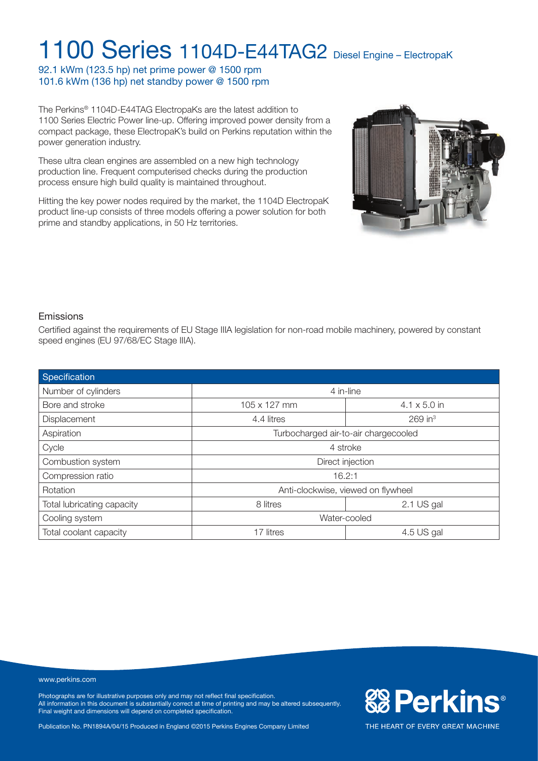92.1 kWm (123.5 hp) net prime power @ 1500 rpm 101.6 kWm (136 hp) net standby power @ 1500 rpm

The Perkins® 1104D-E44TAG ElectropaKs are the latest addition to 1100 Series Electric Power line-up. Offering improved power density from a compact package, these ElectropaK's build on Perkins reputation within the power generation industry.

These ultra clean engines are assembled on a new high technology production line. Frequent computerised checks during the production process ensure high build quality is maintained throughout.

Hitting the key power nodes required by the market, the 1104D ElectropaK product line-up consists of three models offering a power solution for both prime and standby applications, in 50 Hz territories.



**&Perkins®** 

THE HEART OF EVERY GREAT MACHINE

#### Emissions

Certified against the requirements of EU Stage IIIA legislation for non-road mobile machinery, powered by constant speed engines (EU 97/68/EC Stage IIIA).

| Specification              |                                      |                       |  |
|----------------------------|--------------------------------------|-----------------------|--|
| Number of cylinders        | 4 in-line                            |                       |  |
| Bore and stroke            | 105 x 127 mm                         | $4.1 \times 5.0$ in   |  |
| Displacement               | 4.4 litres                           | $269$ in <sup>3</sup> |  |
| Aspiration                 | Turbocharged air-to-air chargecooled |                       |  |
| Cycle                      | 4 stroke                             |                       |  |
| Combustion system          | Direct injection                     |                       |  |
| Compression ratio          | 16.2:1                               |                       |  |
| Rotation                   | Anti-clockwise, viewed on flywheel   |                       |  |
| Total lubricating capacity | 8 litres                             | 2.1 US gal            |  |
| Cooling system             | Water-cooled                         |                       |  |
| Total coolant capacity     | 17 litres                            | 4.5 US gal            |  |

#### www.perkins.com

Photographs are for illustrative purposes only and may not reflect final specification. All information in this document is substantially correct at time of printing and may be altered subsequently. Final weight and dimensions will depend on completed specification.

Publication No. PN1894A/04/15 Produced in England ©2015 Perkins Engines Company Limited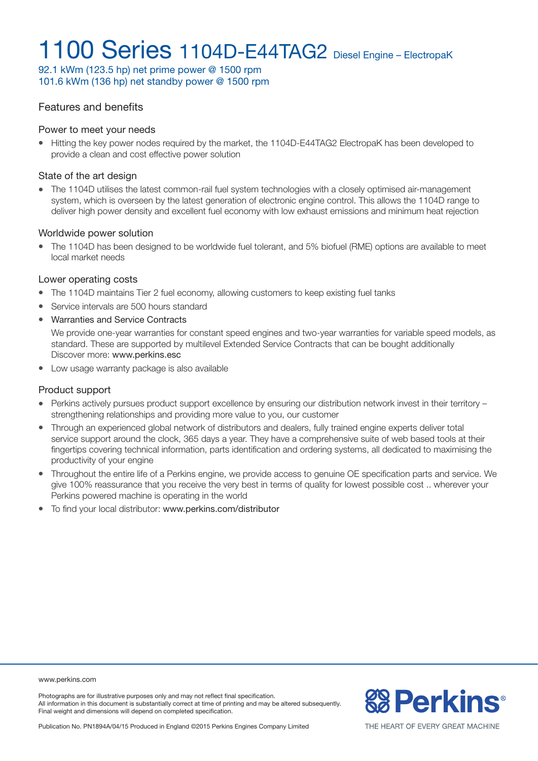92.1 kWm (123.5 hp) net prime power @ 1500 rpm 101.6 kWm (136 hp) net standby power @ 1500 rpm

### Features and benefits

#### Power to meet your needs

• Hitting the key power nodes required by the market, the 1104D-E44TAG2 ElectropaK has been developed to provide a clean and cost effective power solution

#### State of the art design

• The 1104D utilises the latest common-rail fuel system technologies with a closely optimised air-management system, which is overseen by the latest generation of electronic engine control. This allows the 1104D range to deliver high power density and excellent fuel economy with low exhaust emissions and minimum heat rejection

#### Worldwide power solution

<sup>l</sup> The 1104D has been designed to be worldwide fuel tolerant, and 5% biofuel (RME) options are available to meet local market needs

#### Lower operating costs

- The 1104D maintains Tier 2 fuel economy, allowing customers to keep existing fuel tanks
- Service intervals are 500 hours standard
- Warranties and Service Contracts

We provide one-year warranties for constant speed engines and two-year warranties for variable speed models, as standard. These are supported by multilevel Extended Service Contracts that can be bought additionally Discover more: www.perkins.esc

• Low usage warranty package is also available

#### Product support

- Perkins actively pursues product support excellence by ensuring our distribution network invest in their territory strengthening relationships and providing more value to you, our customer
- Through an experienced global network of distributors and dealers, fully trained engine experts deliver total service support around the clock, 365 days a year. They have a comprehensive suite of web based tools at their fingertips covering technical information, parts identification and ordering systems, all dedicated to maximising the productivity of your engine
- Throughout the entire life of a Perkins engine, we provide access to genuine OE specification parts and service. We give 100% reassurance that you receive the very best in terms of quality for lowest possible cost .. wherever your Perkins powered machine is operating in the world
- $\bullet$  To find your local distributor: www.perkins.com/distributor

#### www.perkins.com

Photographs are for illustrative purposes only and may not reflect final specification. All information in this document is substantially correct at time of printing and may be altered subsequently. Final weight and dimensions will depend on completed specification.



Publication No. PN1894A/04/15 Produced in England ©2015 Perkins Engines Company Limited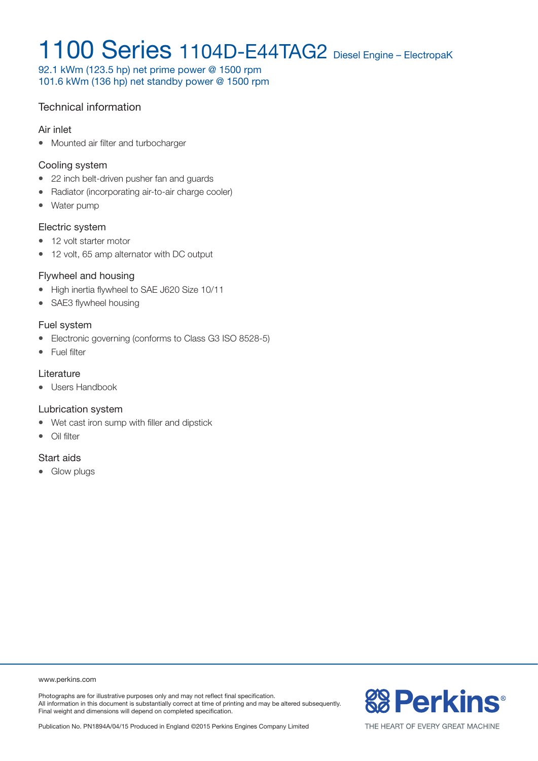92.1 kWm (123.5 hp) net prime power @ 1500 rpm 101.6 kWm (136 hp) net standby power @ 1500 rpm

### Technical information

#### Air inlet

• Mounted air filter and turbocharger

#### Cooling system

- 22 inch belt-driven pusher fan and guards
- Radiator (incorporating air-to-air charge cooler)
- Water pump

#### Electric system

- 12 volt starter motor
- 12 volt, 65 amp alternator with DC output

### Flywheel and housing

- High inertia flywheel to SAE J620 Size 10/11
- SAE3 flywheel housing

### Fuel system

- Electronic governing (conforms to Class G3 ISO 8528-5)
- Fuel filter

### **Literature**

• Users Handbook

### Lubrication system

- Wet cast iron sump with filler and dipstick
- $\bullet$  Oil filter

### Start aids

• Glow plugs

www.perkins.com

Photographs are for illustrative purposes only and may not reflect final specification. All information in this document is substantially correct at time of printing and may be altered subsequently. Final weight and dimensions will depend on completed specification.



THE HEART OF EVERY GREAT MACHINE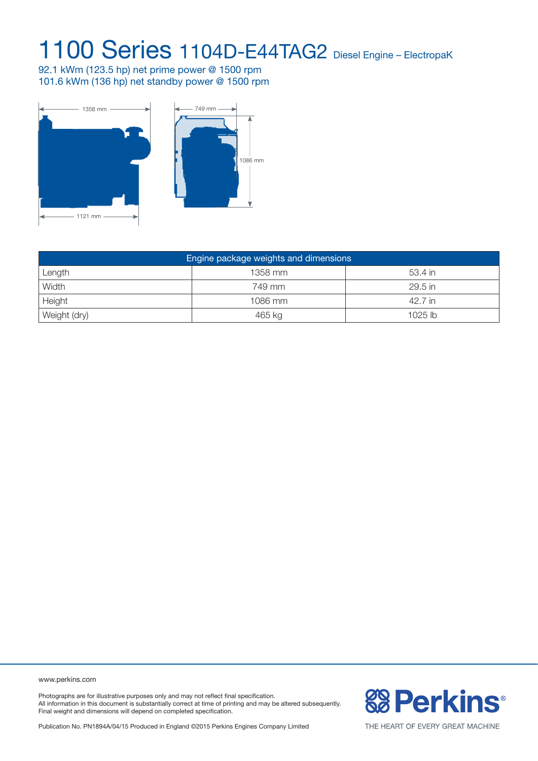92.1 kWm (123.5 hp) net prime power @ 1500 rpm 101.6 kWm (136 hp) net standby power @ 1500 rpm



| Engine package weights and dimensions |         |           |  |  |  |
|---------------------------------------|---------|-----------|--|--|--|
| Length                                | 1358 mm | 53.4 in   |  |  |  |
| Width                                 | 749 mm  | 29.5 in   |  |  |  |
| Height                                | 1086 mm | 42.7 in   |  |  |  |
| Weight (dry)                          | 465 kg  | $1025$ lb |  |  |  |

www.perkins.com

Photographs are for illustrative purposes only and may not reflect final specification. All information in this document is substantially correct at time of printing and may be altered subsequently. Final weight and dimensions will depend on completed specification.

**& Perkins®** 

Publication No. PN1894A/04/15 Produced in England ©2015 Perkins Engines Company Limited

THE HEART OF EVERY GREAT MACHINE